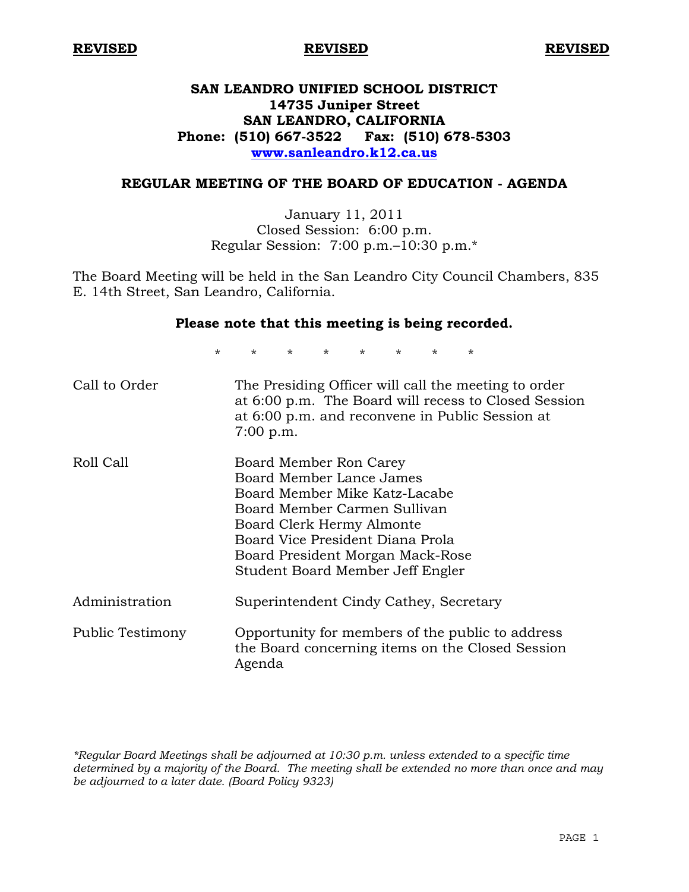# **SAN LEANDRO UNIFIED SCHOOL DISTRICT 14735 Juniper Street SAN LEANDRO, CALIFORNIA Phone: (510) 667-3522 Fax: (510) 678-5303 www.sanleandro.k12.ca.us**

### **REGULAR MEETING OF THE BOARD OF EDUCATION - AGENDA**

January 11, 2011 Closed Session: 6:00 p.m. Regular Session: 7:00 p.m.–10:30 p.m.\*

The Board Meeting will be held in the San Leandro City Council Chambers, 835 E. 14th Street, San Leandro, California.

### **Please note that this meeting is being recorded.**

\* \* \* \* \* \* \* \*

| Call to Order    | The Presiding Officer will call the meeting to order<br>at 6:00 p.m. The Board will recess to Closed Session<br>at 6:00 p.m. and reconvene in Public Session at<br>$7:00$ p.m.                                                                               |
|------------------|--------------------------------------------------------------------------------------------------------------------------------------------------------------------------------------------------------------------------------------------------------------|
| Roll Call        | Board Member Ron Carey<br>Board Member Lance James<br>Board Member Mike Katz-Lacabe<br>Board Member Carmen Sullivan<br>Board Clerk Hermy Almonte<br>Board Vice President Diana Prola<br>Board President Morgan Mack-Rose<br>Student Board Member Jeff Engler |
| Administration   | Superintendent Cindy Cathey, Secretary                                                                                                                                                                                                                       |
| Public Testimony | Opportunity for members of the public to address<br>the Board concerning items on the Closed Session<br>Agenda                                                                                                                                               |

*\*Regular Board Meetings shall be adjourned at 10:30 p.m. unless extended to a specific time determined by a majority of the Board. The meeting shall be extended no more than once and may be adjourned to a later date. (Board Policy 9323)*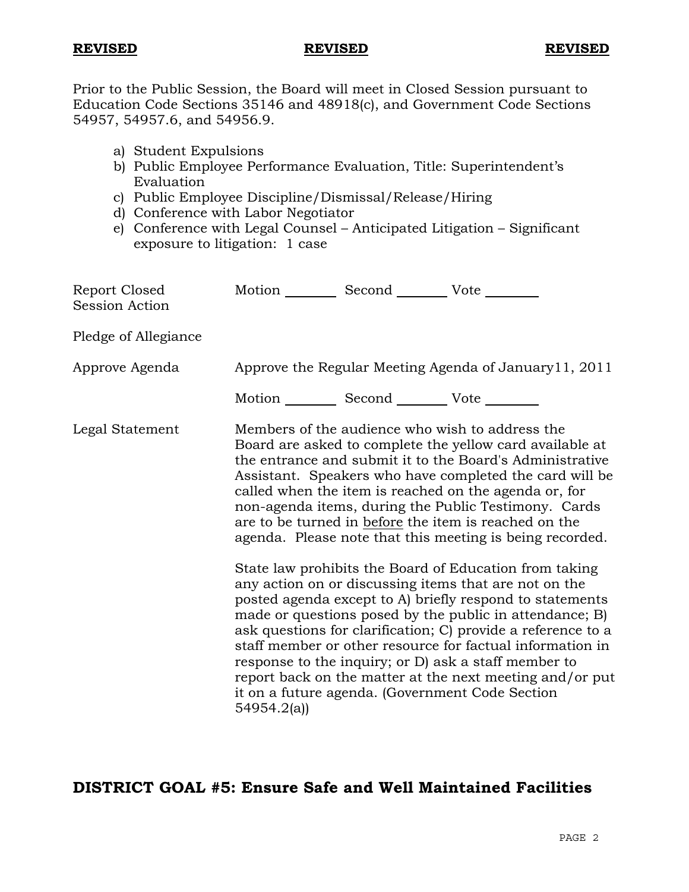Prior to the Public Session, the Board will meet in Closed Session pursuant to Education Code Sections 35146 and 48918(c), and Government Code Sections 54957, 54957.6, and 54956.9.

- a) Student Expulsions
- b) Public Employee Performance Evaluation, Title: Superintendent's Evaluation
- c) Public Employee Discipline/Dismissal/Release/Hiring
- d) Conference with Labor Negotiator
- e) Conference with Legal Counsel Anticipated Litigation Significant exposure to litigation: 1 case

| 54954.2(a) | Motion Second Vote<br>Approve the Regular Meeting Agenda of January 11, 2011<br>Motion __________ Second __________ Vote ________<br>Members of the audience who wish to address the<br>Board are asked to complete the yellow card available at<br>the entrance and submit it to the Board's Administrative<br>Assistant. Speakers who have completed the card will be<br>called when the item is reached on the agenda or, for<br>non-agenda items, during the Public Testimony. Cards<br>are to be turned in before the item is reached on the<br>agenda. Please note that this meeting is being recorded.<br>State law prohibits the Board of Education from taking<br>any action on or discussing items that are not on the<br>posted agenda except to A) briefly respond to statements<br>made or questions posed by the public in attendance; B)<br>ask questions for clarification; C) provide a reference to a<br>staff member or other resource for factual information in<br>response to the inquiry; or D) ask a staff member to<br>report back on the matter at the next meeting and/or put<br>it on a future agenda. (Government Code Section |
|------------|-------------------------------------------------------------------------------------------------------------------------------------------------------------------------------------------------------------------------------------------------------------------------------------------------------------------------------------------------------------------------------------------------------------------------------------------------------------------------------------------------------------------------------------------------------------------------------------------------------------------------------------------------------------------------------------------------------------------------------------------------------------------------------------------------------------------------------------------------------------------------------------------------------------------------------------------------------------------------------------------------------------------------------------------------------------------------------------------------------------------------------------------------------------|

# **DISTRICT GOAL #5: Ensure Safe and Well Maintained Facilities**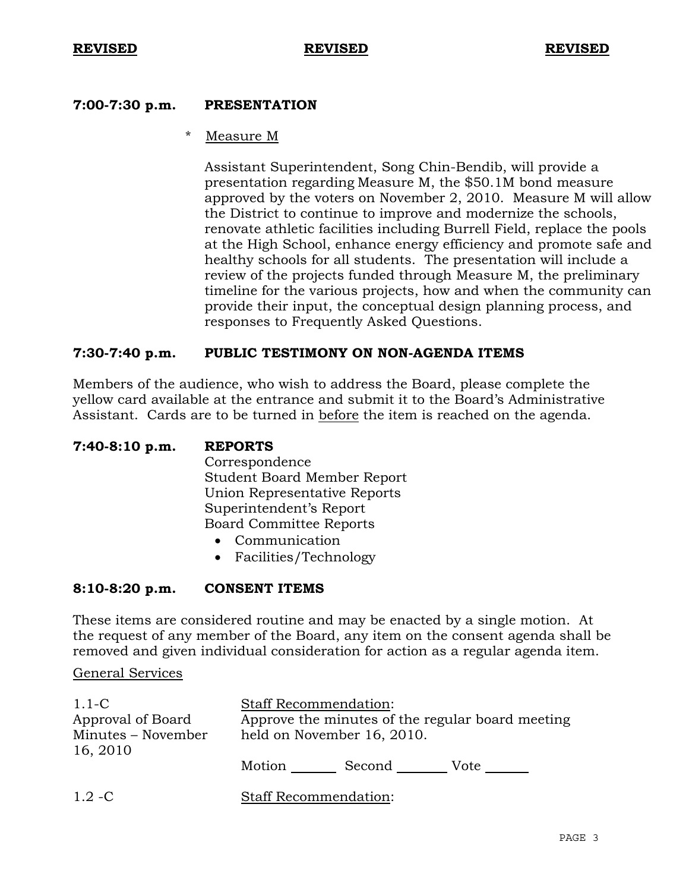### **7:00-7:30 p.m. PRESENTATION**

### Measure M

 Assistant Superintendent, Song Chin-Bendib, will provide a presentation regarding Measure M, the \$50.1M bond measure approved by the voters on November 2, 2010. Measure M will allow the District to continue to improve and modernize the schools, renovate athletic facilities including Burrell Field, replace the pools at the High School, enhance energy efficiency and promote safe and healthy schools for all students. The presentation will include a review of the projects funded through Measure M, the preliminary timeline for the various projects, how and when the community can provide their input, the conceptual design planning process, and responses to Frequently Asked Questions.

### **7:30-7:40 p.m. PUBLIC TESTIMONY ON NON-AGENDA ITEMS**

Members of the audience, who wish to address the Board, please complete the yellow card available at the entrance and submit it to the Board's Administrative Assistant. Cards are to be turned in before the item is reached on the agenda.

# **7:40-8:10 p.m. REPORTS**

 Correspondence Student Board Member Report Union Representative Reports Superintendent's Report Board Committee Reports

- Communication
- Facilities/Technology

### **8:10-8:20 p.m. CONSENT ITEMS**

These items are considered routine and may be enacted by a single motion. At the request of any member of the Board, any item on the consent agenda shall be removed and given individual consideration for action as a regular agenda item.

### General Services

| $1.1\text{-C}$                 | <b>Staff Recommendation:</b>                     |
|--------------------------------|--------------------------------------------------|
| Approval of Board              | Approve the minutes of the regular board meeting |
| Minutes - November<br>16, 2010 | held on November 16, 2010.                       |
|                                | Second<br>Motion<br>Vote                         |
| $1.2 - C$                      | Staff Recommendation:                            |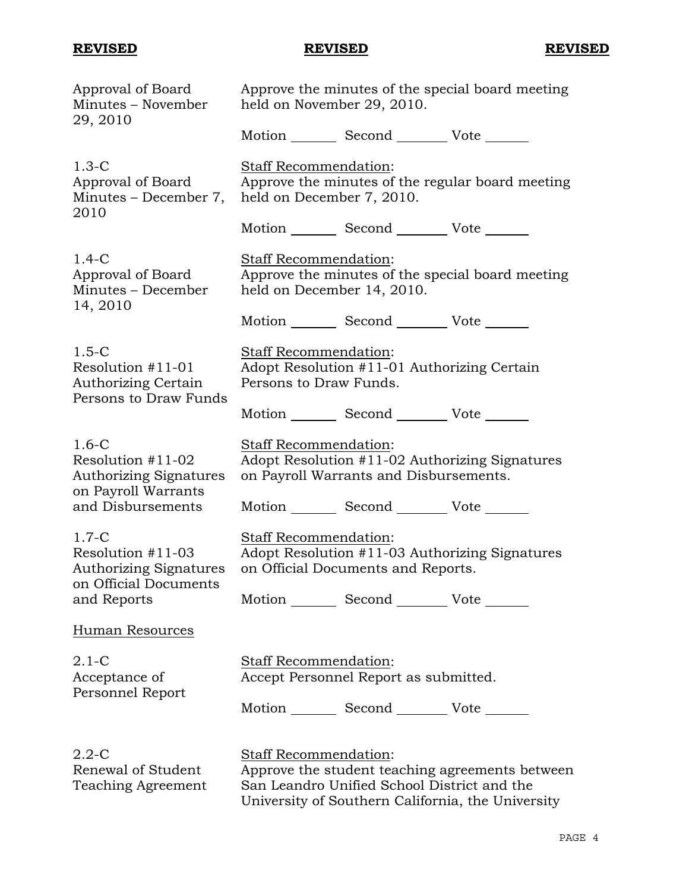| Approval of Board<br>Minutes - November<br>29, 2010                                    | Approve the minutes of the special board meeting<br>held on November 29, 2010.                                                                                                      |
|----------------------------------------------------------------------------------------|-------------------------------------------------------------------------------------------------------------------------------------------------------------------------------------|
|                                                                                        | Motion _________ Second __________ Vote _______                                                                                                                                     |
| $1.3-C$<br>Approval of Board<br>Minutes – December 7,<br>2010                          | <b>Staff Recommendation:</b><br>Approve the minutes of the regular board meeting<br>held on December 7, 2010.                                                                       |
|                                                                                        | Motion _________ Second __________ Vote _______                                                                                                                                     |
| $1.4-C$<br>Approval of Board<br>Minutes - December<br>14, 2010                         | <b>Staff Recommendation:</b><br>Approve the minutes of the special board meeting<br>held on December 14, 2010.                                                                      |
|                                                                                        | Motion _________ Second __________ Vote _______                                                                                                                                     |
| $1.5-C$<br>Resolution #11-01<br><b>Authorizing Certain</b><br>Persons to Draw Funds    | Staff Recommendation:<br>Adopt Resolution #11-01 Authorizing Certain<br>Persons to Draw Funds.                                                                                      |
|                                                                                        | Motion _________ Second __________ Vote _______                                                                                                                                     |
| $1.6-C$<br>Resolution #11-02<br><b>Authorizing Signatures</b>                          | <b>Staff Recommendation:</b><br>Adopt Resolution #11-02 Authorizing Signatures<br>on Payroll Warrants and Disbursements.                                                            |
| on Payroll Warrants<br>and Disbursements                                               | Motion _________ Second __________ Vote _______                                                                                                                                     |
| $1.7-C$<br>Resolution #11-03<br><b>Authorizing Signatures</b><br>on Official Documents | Staff Recommendation:<br>Adopt Resolution #11-03 Authorizing Signatures<br>on Official Documents and Reports.                                                                       |
| and Reports                                                                            | Motion _________ Second __________ Vote _______                                                                                                                                     |
| <b>Human Resources</b>                                                                 |                                                                                                                                                                                     |
| $2.1 - C$<br>Acceptance of<br>Personnel Report                                         | <b>Staff Recommendation:</b><br>Accept Personnel Report as submitted.                                                                                                               |
|                                                                                        | Motion _________ Second _________ Vote _______                                                                                                                                      |
| $2.2 - C$<br>Renewal of Student<br>Teaching Agreement                                  | <b>Staff Recommendation:</b><br>Approve the student teaching agreements between<br>San Leandro Unified School District and the<br>University of Southern California, the University |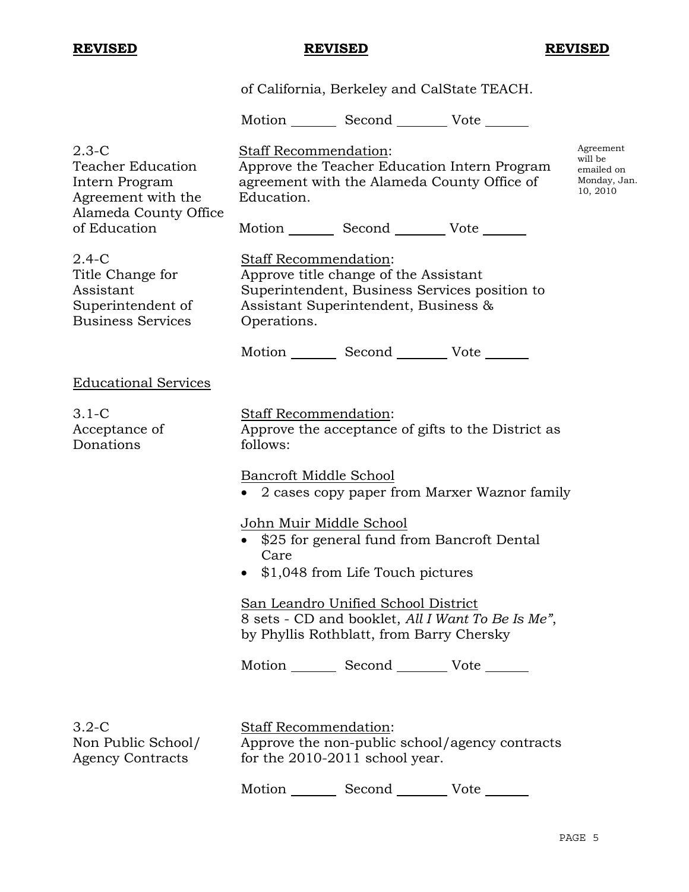|                                                                                                        |                                                         | of California, Berkeley and CalState TEACH.                                                                                    |                                                    |                                                                |
|--------------------------------------------------------------------------------------------------------|---------------------------------------------------------|--------------------------------------------------------------------------------------------------------------------------------|----------------------------------------------------|----------------------------------------------------------------|
|                                                                                                        |                                                         | Motion _________ Second __________ Vote _______                                                                                |                                                    |                                                                |
| $2.3 - C$<br><b>Teacher Education</b><br>Intern Program<br>Agreement with the<br>Alameda County Office | Staff Recommendation:<br>Education.                     | Approve the Teacher Education Intern Program<br>agreement with the Alameda County Office of                                    |                                                    | Agreement<br>will be<br>emailed on<br>Monday, Jan.<br>10, 2010 |
| of Education                                                                                           |                                                         | Motion _________ Second ___________ Vote _______                                                                               |                                                    |                                                                |
| $2.4-C$<br>Title Change for<br>Assistant<br>Superintendent of<br><b>Business Services</b>              | Staff Recommendation:<br>Operations.                    | Approve title change of the Assistant<br>Superintendent, Business Services position to<br>Assistant Superintendent, Business & |                                                    |                                                                |
|                                                                                                        |                                                         | Motion _________ Second _________ Vote _______                                                                                 |                                                    |                                                                |
| <b>Educational Services</b>                                                                            |                                                         |                                                                                                                                |                                                    |                                                                |
| $3.1-C$<br>Acceptance of<br>Donations                                                                  | Staff Recommendation:<br>follows:                       |                                                                                                                                | Approve the acceptance of gifts to the District as |                                                                |
|                                                                                                        | Bancroft Middle School                                  |                                                                                                                                | 2 cases copy paper from Marxer Waznor family       |                                                                |
|                                                                                                        | John Muir Middle School<br>Care                         | \$25 for general fund from Bancroft Dental<br>\$1,048 from Life Touch pictures                                                 |                                                    |                                                                |
|                                                                                                        |                                                         | San Leandro Unified School District<br>by Phyllis Rothblatt, from Barry Chersky                                                | 8 sets - CD and booklet, All I Want To Be Is Me",  |                                                                |
|                                                                                                        |                                                         | Motion _________ Second __________ Vote _______                                                                                |                                                    |                                                                |
| $3.2 - C$<br>Non Public School/<br><b>Agency Contracts</b>                                             | Staff Recommendation:<br>for the 2010-2011 school year. |                                                                                                                                | Approve the non-public school/agency contracts     |                                                                |

Motion Second Vote \_\_\_\_\_\_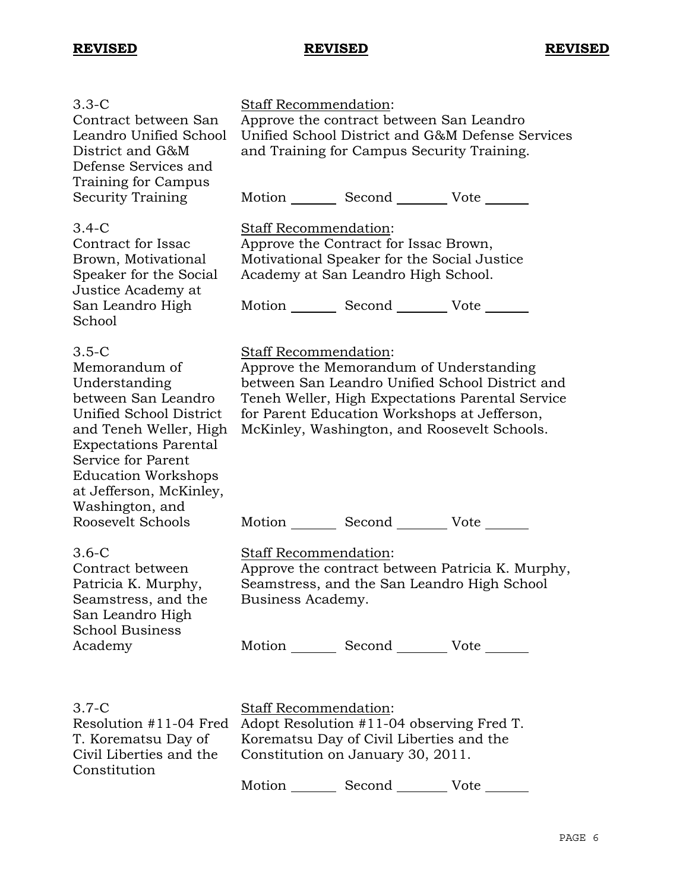| $3.3-C$<br>Contract between San<br>Leandro Unified School<br>District and G&M<br>Defense Services and<br>Training for Campus                                                                                                                                                 | Staff Recommendation:                             | Approve the contract between San Leandro<br>and Training for Campus Security Training.                                                                                                     | Unified School District and G&M Defense Services                                                    |
|------------------------------------------------------------------------------------------------------------------------------------------------------------------------------------------------------------------------------------------------------------------------------|---------------------------------------------------|--------------------------------------------------------------------------------------------------------------------------------------------------------------------------------------------|-----------------------------------------------------------------------------------------------------|
| <b>Security Training</b>                                                                                                                                                                                                                                                     |                                                   | Motion _________ Second _________ Vote _______                                                                                                                                             |                                                                                                     |
| $3.4 - C$<br>Contract for Issac<br>Brown, Motivational<br>Speaker for the Social<br>Justice Academy at<br>San Leandro High<br>School                                                                                                                                         | Staff Recommendation:                             | Approve the Contract for Issac Brown,<br>Motivational Speaker for the Social Justice<br>Academy at San Leandro High School.<br>Motion _________ Second __________ Vote _______             |                                                                                                     |
| $3.5-C$<br>Memorandum of<br>Understanding<br>between San Leandro<br>Unified School District<br>and Teneh Weller, High<br><b>Expectations Parental</b><br>Service for Parent<br><b>Education Workshops</b><br>at Jefferson, McKinley,<br>Washington, and<br>Roosevelt Schools | Staff Recommendation:                             | Approve the Memorandum of Understanding<br>for Parent Education Workshops at Jefferson,<br>McKinley, Washington, and Roosevelt Schools.<br>Motion _________ Second __________ Vote _______ | between San Leandro Unified School District and<br>Teneh Weller, High Expectations Parental Service |
| $3.6-C$<br>Contract between<br>Patricia K. Murphy,<br>Seamstress, and the<br>San Leandro High<br><b>School Business</b><br>Academy                                                                                                                                           | <b>Staff Recommendation:</b><br>Business Academy. | Seamstress, and the San Leandro High School<br>Motion _________ Second __________ Vote _______                                                                                             | Approve the contract between Patricia K. Murphy,                                                    |
| $3.7-C$<br>Resolution #11-04 Fred<br>T. Korematsu Day of<br>Civil Liberties and the<br>Constitution                                                                                                                                                                          | <b>Staff Recommendation:</b>                      | Adopt Resolution #11-04 observing Fred T.<br>Korematsu Day of Civil Liberties and the<br>Constitution on January 30, 2011.<br>Motion Second Vote                                           |                                                                                                     |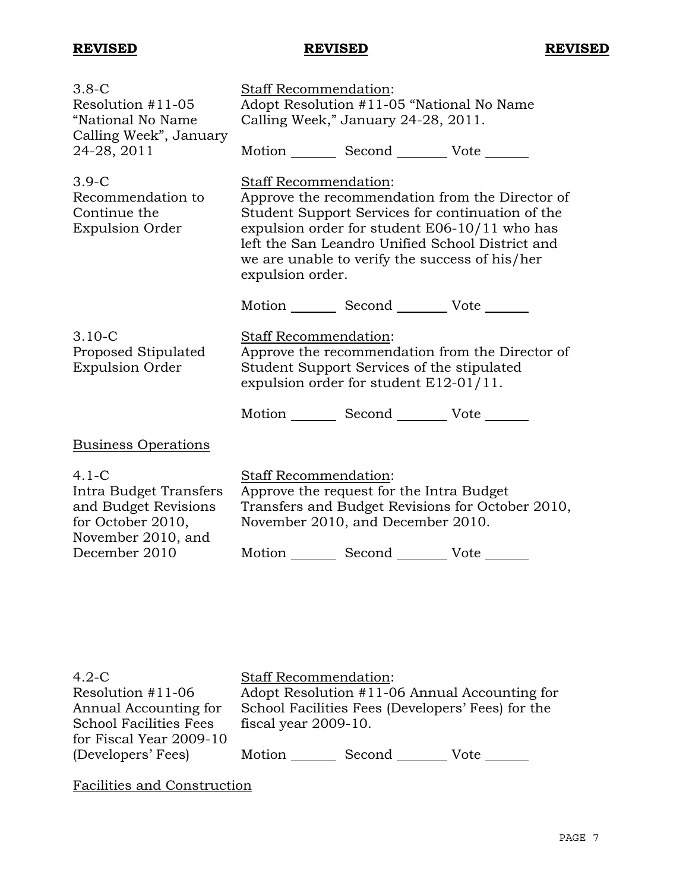| $3.8 - C$<br>Resolution $#11-05$<br>"National No Name<br>Calling Week", January<br>24-28, 2011                        | <b>Staff Recommendation:</b>                     | Adopt Resolution #11-05 "National No Name<br>Calling Week," January 24-28, 2011.<br>Motion Second Vote |                                                                                                                                                                                                          |
|-----------------------------------------------------------------------------------------------------------------------|--------------------------------------------------|--------------------------------------------------------------------------------------------------------|----------------------------------------------------------------------------------------------------------------------------------------------------------------------------------------------------------|
| $3.9-C$<br>Recommendation to<br>Continue the<br><b>Expulsion Order</b>                                                | <b>Staff Recommendation:</b><br>expulsion order. | we are unable to verify the success of his/her                                                         | Approve the recommendation from the Director of<br>Student Support Services for continuation of the<br>expulsion order for student E06-10/11 who has<br>left the San Leandro Unified School District and |
|                                                                                                                       |                                                  | Motion _________ Second __________ Vote _______                                                        |                                                                                                                                                                                                          |
| $3.10 - C$<br>Proposed Stipulated<br><b>Expulsion Order</b>                                                           | <b>Staff Recommendation:</b>                     | Student Support Services of the stipulated<br>expulsion order for student $E12-01/11$ .                | Approve the recommendation from the Director of                                                                                                                                                          |
|                                                                                                                       |                                                  | Motion _________ Second __________ Vote _______                                                        |                                                                                                                                                                                                          |
| <b>Business Operations</b>                                                                                            |                                                  |                                                                                                        |                                                                                                                                                                                                          |
| $4.1-C$<br>Intra Budget Transfers<br>and Budget Revisions<br>for October 2010,<br>November 2010, and<br>December 2010 | Staff Recommendation:                            | Approve the request for the Intra Budget<br>November 2010, and December 2010.<br>Motion Second Vote    | Transfers and Budget Revisions for October 2010,                                                                                                                                                         |

| $4.2-C$                       | <b>Staff Recommendation:</b> |                                                   |                                               |
|-------------------------------|------------------------------|---------------------------------------------------|-----------------------------------------------|
| Resolution #11-06             |                              |                                                   | Adopt Resolution #11-06 Annual Accounting for |
| Annual Accounting for         |                              | School Facilities Fees (Developers' Fees) for the |                                               |
| <b>School Facilities Fees</b> | fiscal year 2009-10.         |                                                   |                                               |
| for Fiscal Year 2009-10       |                              |                                                   |                                               |
| (Developers' Fees)            | Motion                       | Second                                            | Vote                                          |

Facilities and Construction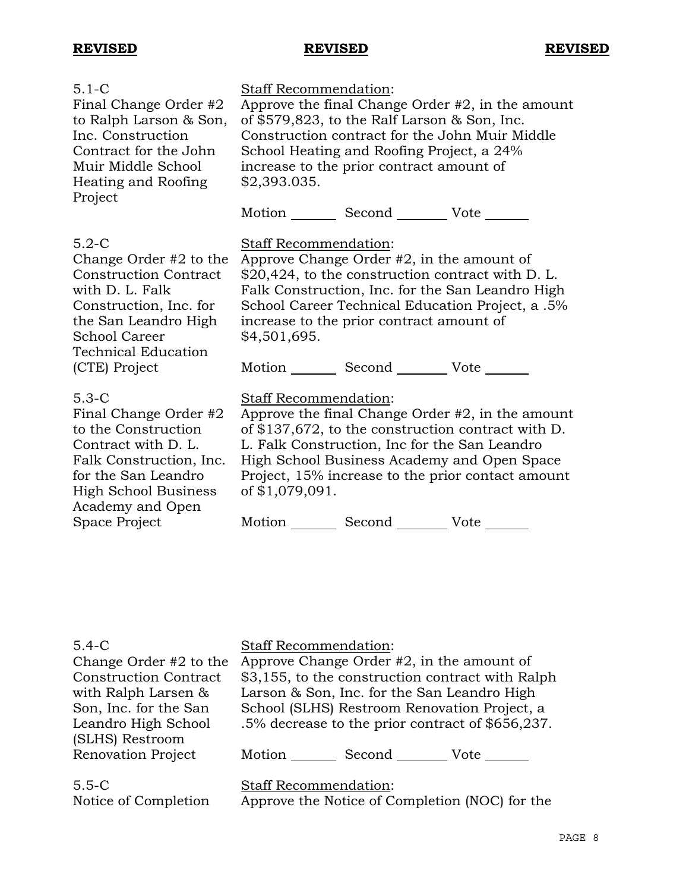| $5.1 - C$<br>Final Change Order #2<br>to Ralph Larson & Son,<br>Inc. Construction<br>Contract for the John<br>Muir Middle School<br>Heating and Roofing                                                         | <b>Staff Recommendation:</b><br>Approve the final Change Order $#2$ , in the amount<br>of \$579,823, to the Ralf Larson $\&$ Son, Inc.<br>Construction contract for the John Muir Middle<br>School Heating and Roofing Project, a 24%<br>increase to the prior contract amount of<br>\$2,393.035.                           |  |
|-----------------------------------------------------------------------------------------------------------------------------------------------------------------------------------------------------------------|-----------------------------------------------------------------------------------------------------------------------------------------------------------------------------------------------------------------------------------------------------------------------------------------------------------------------------|--|
| Project                                                                                                                                                                                                         | Motion _________ Second __________ Vote _______                                                                                                                                                                                                                                                                             |  |
| $5.2-C$<br>Change Order $#2$ to the<br><b>Construction Contract</b><br>with D. L. Falk<br>Construction, Inc. for<br>the San Leandro High<br><b>School Career</b><br><b>Technical Education</b><br>(CTE) Project | <b>Staff Recommendation:</b><br>Approve Change Order $#2$ , in the amount of<br>\$20,424, to the construction contract with D. L.<br>Falk Construction, Inc. for the San Leandro High<br>School Career Technical Education Project, a .5%<br>increase to the prior contract amount of<br>\$4,501,695.<br>Motion Second Vote |  |
| $5.3-C$<br>Final Change Order #2<br>to the Construction<br>Contract with D. L.<br>Falk Construction, Inc.<br>for the San Leandro<br><b>High School Business</b><br>Academy and Open                             | Staff Recommendation:<br>Approve the final Change Order $#2$ , in the amount<br>of \$137,672, to the construction contract with D.<br>L. Falk Construction, Inc for the San Leandro<br>High School Business Academy and Open Space<br>Project, 15% increase to the prior contact amount<br>of \$1,079,091.                  |  |
| Space Project                                                                                                                                                                                                   | Second __________ Vote<br>Motion                                                                                                                                                                                                                                                                                            |  |

### 5.4-C

Change Order #2 to the Construction Contract with Ralph Larsen & Son, Inc. for the San Leandro High School (SLHS) Restroom Renovation Project Staff Recommendation: Approve Change Order #2, in the amount of \$3,155, to the construction contract with Ralph Larson & Son, Inc. for the San Leandro High School (SLHS) Restroom Renovation Project, a .5% decrease to the prior contract of \$656,237. Motion Second Vote 5.5-C Notice of Completion Staff Recommendation: Approve the Notice of Completion (NOC) for the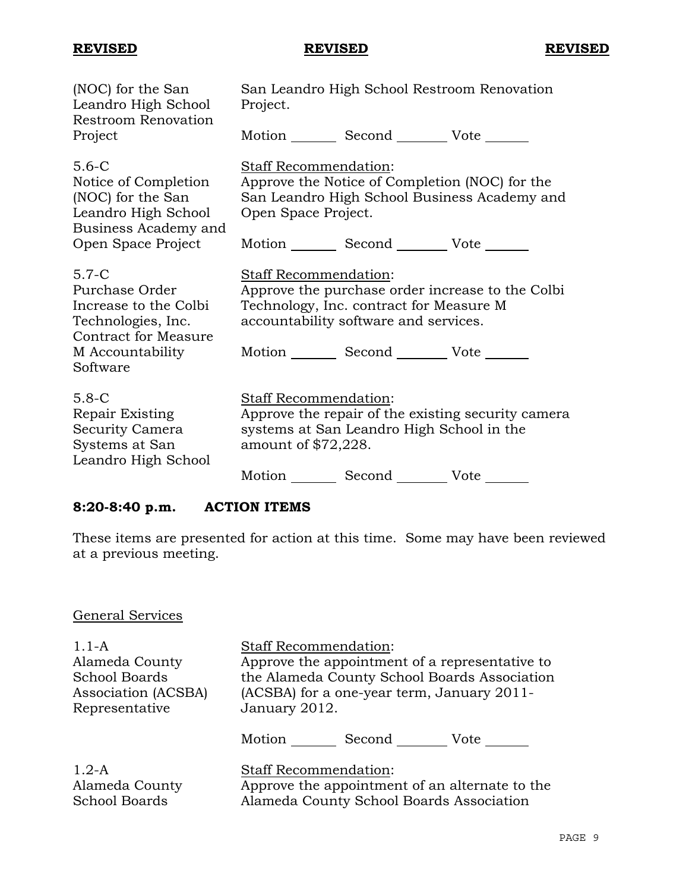| (NOC) for the San<br>Leandro High School<br><b>Restroom Renovation</b>                                  | San Leandro High School Restroom Renovation<br>Project.                                                                                                       |
|---------------------------------------------------------------------------------------------------------|---------------------------------------------------------------------------------------------------------------------------------------------------------------|
| Project                                                                                                 | Motion _________ Second __________ Vote _______                                                                                                               |
| $5.6 - C$<br>Notice of Completion<br>(NOC) for the San<br>Leandro High School<br>Business Academy and   | Staff Recommendation:<br>Approve the Notice of Completion (NOC) for the<br>San Leandro High School Business Academy and<br>Open Space Project.                |
| Open Space Project                                                                                      | Motion _________ Second __________ Vote _______                                                                                                               |
| $5.7-C$<br>Purchase Order<br>Increase to the Colbi<br>Technologies, Inc.<br><b>Contract for Measure</b> | Staff Recommendation:<br>Approve the purchase order increase to the Colbi<br>Technology, Inc. contract for Measure M<br>accountability software and services. |
| M Accountability<br>Software                                                                            | Motion _________ Second __________ Vote _______                                                                                                               |
| $5.8 - C$<br>Repair Existing<br>Security Camera<br>Systems at San<br>Leandro High School                | Staff Recommendation:<br>Approve the repair of the existing security camera<br>systems at San Leandro High School in the<br>amount of \$72,228.               |
|                                                                                                         | Motion<br>Second _________ Vote _______                                                                                                                       |

# **8:20-8:40 p.m. ACTION ITEMS**

These items are presented for action at this time. Some may have been reviewed at a previous meeting.

# General Services

| $1.1-A$              | <b>Staff Recommendation:</b>                   |
|----------------------|------------------------------------------------|
| Alameda County       | Approve the appointment of a representative to |
| <b>School Boards</b> | the Alameda County School Boards Association   |
| Association (ACSBA)  | (ACSBA) for a one-year term, January 2011-     |
| Representative       | January 2012.                                  |
|                      | Motion Second Vote                             |
| $1.2-A$              | <b>Staff Recommendation:</b>                   |
| Alameda County       | Approve the appointment of an alternate to the |
| <b>School Boards</b> | Alameda County School Boards Association       |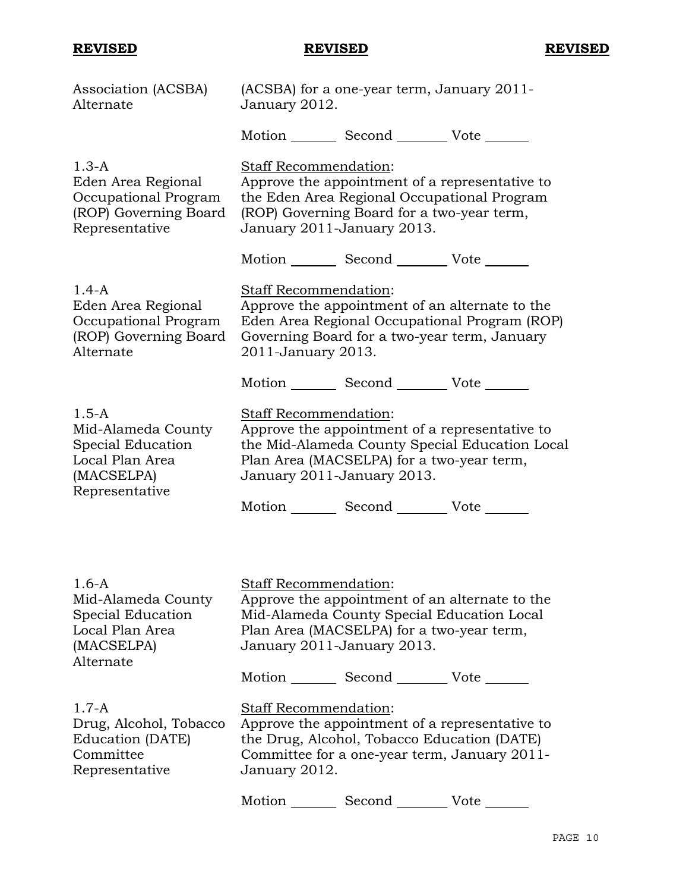| Association (ACSBA)<br>Alternate                                                                        | (ACSBA) for a one-year term, January 2011-<br>January 2012.                                                                                                                                          |
|---------------------------------------------------------------------------------------------------------|------------------------------------------------------------------------------------------------------------------------------------------------------------------------------------------------------|
|                                                                                                         | Motion _________ Second __________ Vote _______                                                                                                                                                      |
| $1.3-A$<br>Eden Area Regional<br>Occupational Program<br>(ROP) Governing Board<br>Representative        | Staff Recommendation:<br>Approve the appointment of a representative to<br>the Eden Area Regional Occupational Program<br>(ROP) Governing Board for a two-year term,<br>January 2011-January 2013.   |
|                                                                                                         | Motion _________ Second __________ Vote _______                                                                                                                                                      |
| $1.4-A$<br>Eden Area Regional<br>Occupational Program<br>(ROP) Governing Board<br>Alternate             | Staff Recommendation:<br>Approve the appointment of an alternate to the<br>Eden Area Regional Occupational Program (ROP)<br>Governing Board for a two-year term, January<br>2011-January 2013.       |
|                                                                                                         | Motion _________ Second __________ Vote _______                                                                                                                                                      |
| $1.5 - A$<br>Mid-Alameda County<br>Special Education<br>Local Plan Area<br>(MACSELPA)<br>Representative | Staff Recommendation:<br>Approve the appointment of a representative to<br>the Mid-Alameda County Special Education Local<br>Plan Area (MACSELPA) for a two-year term,<br>January 2011-January 2013. |
|                                                                                                         | Motion _________ Second __________ Vote _______                                                                                                                                                      |
|                                                                                                         |                                                                                                                                                                                                      |
| $1.6 - A$<br>Mid-Alameda County<br>Special Education<br>Local Plan Area<br>(MACSELPA)<br>Alternate      | Staff Recommendation:<br>Approve the appointment of an alternate to the<br>Mid-Alameda County Special Education Local<br>Plan Area (MACSELPA) for a two-year term,<br>January 2011-January 2013.     |
|                                                                                                         | Motion ______ Second _________ Vote _______                                                                                                                                                          |
| $1.7 - A$<br>Drug, Alcohol, Tobacco<br>Education (DATE)<br>Committee<br>Representative                  | <b>Staff Recommendation:</b><br>Approve the appointment of a representative to<br>the Drug, Alcohol, Tobacco Education (DATE)<br>Committee for a one-year term, January 2011-<br>January 2012.       |
|                                                                                                         | Motion<br>Second<br>Vote                                                                                                                                                                             |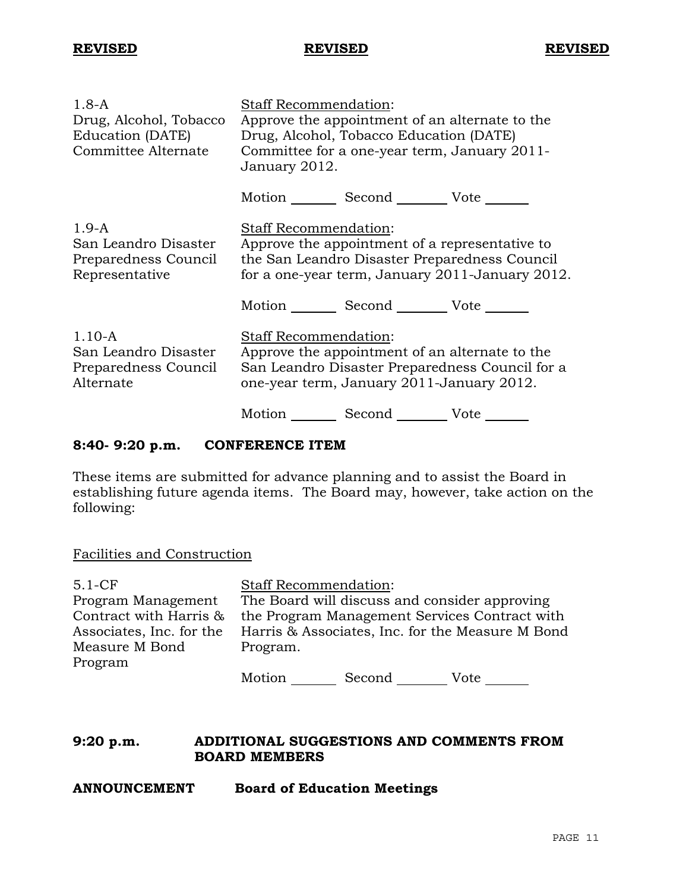| $1.8-A$<br>Drug, Alcohol, Tobacco<br>Education (DATE)<br>Committee Alternate | Staff Recommendation:<br>Approve the appointment of an alternate to the<br>Drug, Alcohol, Tobacco Education (DATE)<br>Committee for a one-year term, January 2011-<br>January 2012. |  |  |
|------------------------------------------------------------------------------|-------------------------------------------------------------------------------------------------------------------------------------------------------------------------------------|--|--|
|                                                                              | Motion Second Vote                                                                                                                                                                  |  |  |
| $1.9-A$<br>San Leandro Disaster<br>Preparedness Council<br>Representative    | Staff Recommendation:<br>Approve the appointment of a representative to<br>the San Leandro Disaster Preparedness Council<br>for a one-year term, January 2011-January 2012.         |  |  |
|                                                                              | Motion Second Vote                                                                                                                                                                  |  |  |
| $1.10 - A$<br>San Leandro Disaster<br>Preparedness Council<br>Alternate      | Staff Recommendation:<br>Approve the appointment of an alternate to the<br>San Leandro Disaster Preparedness Council for a<br>one-year term, January 2011-January 2012.             |  |  |
|                                                                              | Motion Second Vote                                                                                                                                                                  |  |  |

## **8:40- 9:20 p.m. CONFERENCE ITEM**

These items are submitted for advance planning and to assist the Board in establishing future agenda items. The Board may, however, take action on the following:

### Facilities and Construction

| $5.1-CF$                 | <b>Staff Recommendation:</b>                     |  |  |
|--------------------------|--------------------------------------------------|--|--|
| Program Management       | The Board will discuss and consider approving    |  |  |
| Contract with Harris &   | the Program Management Services Contract with    |  |  |
| Associates, Inc. for the | Harris & Associates, Inc. for the Measure M Bond |  |  |
| Measure M Bond           | Program.                                         |  |  |
| Program                  |                                                  |  |  |
|                          | $\blacksquare$                                   |  |  |

Motion Second Vote \_\_\_\_\_\_

## **9:20 p.m. ADDITIONAL SUGGESTIONS AND COMMENTS FROM BOARD MEMBERS**

**ANNOUNCEMENT Board of Education Meetings**